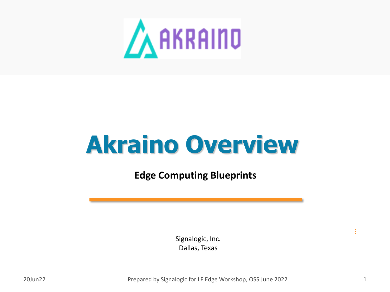

# **Akraino Overview**

**Edge Computing Blueprints**

Signalogic, Inc. Dallas, Texas

20Jun22 **Prepared by Signalogic for LF Edge Workshop, OSS June 2022** 2011 1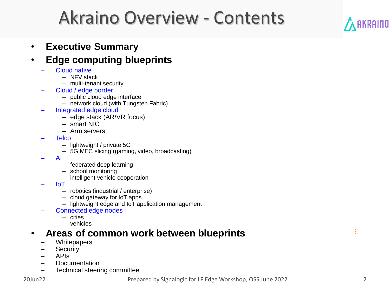## Akraino Overview - Contents



#### • **Edge computing blueprints**

- Cloud native
	- NFV stack
	- multi-tenant security
- Cloud / edge border
	- public cloud edge interface
	- network cloud (with Tungsten Fabric)
- Integrated edge cloud
	- edge stack (AR/VR focus)
	- smart NIC
	- Arm servers
- Telco
	- lightweight / private 5G
	- 5G MEC slicing (gaming, video, broadcasting)
- AI
	- federated deep learning
	- school monitoring
	- intelligent vehicle cooperation
- IoT
	- robotics (industrial / enterprise)
	- cloud gateway for IoT apps
	- lightweight edge and IoT application management
- Connected edge nodes
	- cities
	- vehicles

#### • **Areas of common work between blueprints**

- **Whitepapers**
- Security
- APIs
- Documentation
- Technical steering committee

**AKRAIND**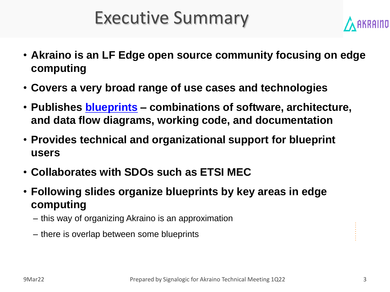## Executive Summary



- **Akraino is an LF Edge open source community focusing on edge computing**
- **Covers a very broad range of use cases and technologies**
- **Publishes blueprints – combinations of software, architecture, and data flow diagrams, working code, and documentation**
- **Provides technical and organizational support for blueprint users**
- **Collaborates with SDOs such as ETSI MEC**
- **Following slides organize blueprints by key areas in edge computing**
	- this way of organizing Akraino is an approximation
	- there is overlap between some blueprints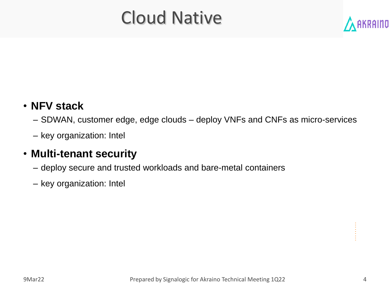## Cloud Native



#### • **NFV stack**

- SDWAN, customer edge, edge clouds deploy VNFs and CNFs as micro-services
- key organization: Intel

#### • **Multi-tenant security**

- deploy secure and trusted workloads and bare-metal containers
- key organization: Intel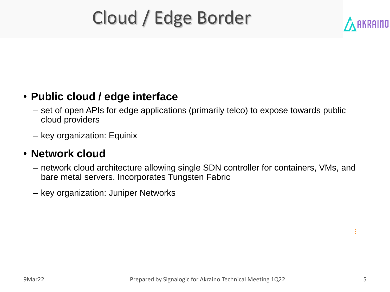## Cloud / Edge Border



#### • **Public cloud / edge interface**

- set of open APIs for edge applications (primarily telco) to expose towards public cloud providers
- key organization: Equinix

#### • **Network cloud**

- network cloud architecture allowing single SDN controller for containers, VMs, and bare metal servers. Incorporates Tungsten Fabric
- key organization: Juniper Networks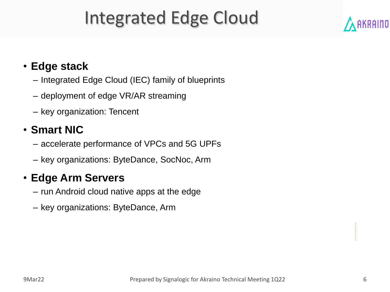## Integrated Edge Cloud

#### • **Edge stack**

- Integrated Edge Cloud (IEC) family of blueprints
- deployment of edge VR/AR streaming
- key organization: Tencent

#### • **Smart NIC**

- accelerate performance of VPCs and 5G UPFs
- key organizations: ByteDance, SocNoc, Arm

#### • **Edge Arm Servers**

- run Android cloud native apps at the edge
- key organizations: ByteDance, Arm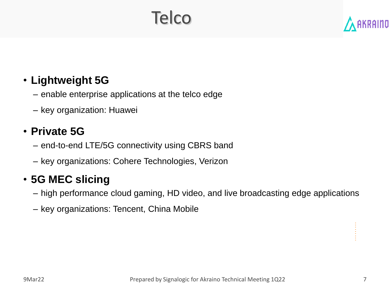## Telco

#### • **Lightweight 5G**

- enable enterprise applications at the telco edge
- key organization: Huawei

#### • **Private 5G**

- end-to-end LTE/5G connectivity using CBRS band
- key organizations: Cohere Technologies, Verizon

#### • **5G MEC slicing**

- high performance cloud gaming, HD video, and live broadcasting edge applications
- key organizations: Tencent, China Mobile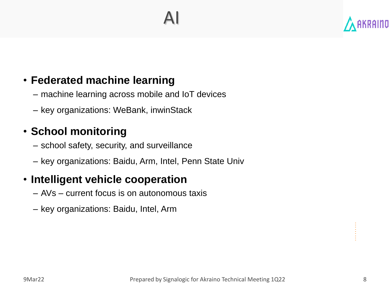#### • **Federated machine learning**

- machine learning across mobile and IoT devices
- key organizations: WeBank, inwinStack

### • **School monitoring**

- school safety, security, and surveillance
- key organizations: Baidu, Arm, Intel, Penn State Univ

#### • **Intelligent vehicle cooperation**

- AVs current focus is on autonomous taxis
- key organizations: Baidu, Intel, Arm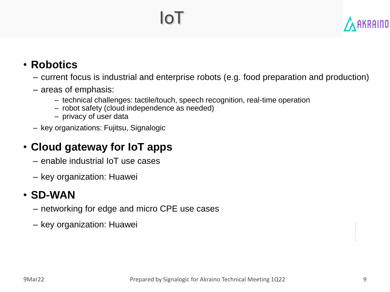## IoT



#### • **Robotics**

- current focus is industrial and enterprise robots (e.g. food preparation and production)
- areas of emphasis:
	- technical challenges: tactile/touch, speech recognition, real-time operation
	- robot safety (cloud independence as needed)
	- privacy of user data
- key organizations: Fujitsu, Signalogic

#### • **Cloud gateway for IoT apps**

- enable industrial IoT use cases
- key organization: Huawei

#### • **SD-WAN**

- networking for edge and micro CPE use cases
- key organization: Huawei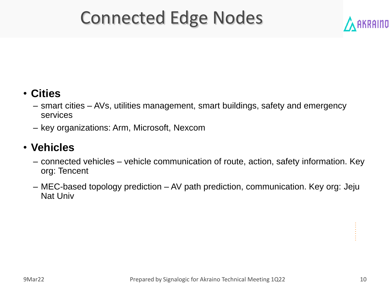## Connected Edge Nodes



#### • **Cities**

- smart cities AVs, utilities management, smart buildings, safety and emergency services
- key organizations: Arm, Microsoft, Nexcom

#### • **Vehicles**

- connected vehicles vehicle communication of route, action, safety information. Key org: Tencent
- MEC-based topology prediction AV path prediction, communication. Key org: Jeju Nat Univ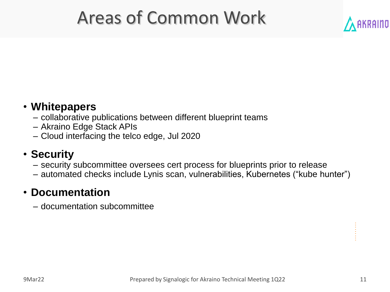## Areas of Common Work



- collaborative publications between different blueprint teams
- Akraino Edge Stack APIs
- Cloud interfacing the telco edge, Jul 2020

#### • **Security**

- security subcommittee oversees cert process for blueprints prior to release
- automated checks include Lynis scan, vulnerabilities, Kubernetes ("kube hunter")

#### • **Documentation**

– documentation subcommittee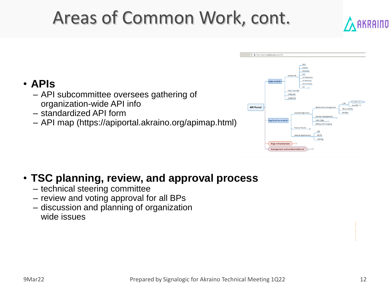## Areas of Common Work, cont.



#### • **APIs**

- API subcommittee oversees gathering of organization-wide API info
- standardized API form
- API map (https://apiportal.akraino.org/apimap.html)



#### • **TSC planning, review, and approval process**

- technical steering committee
- review and voting approval for all BPs
- discussion and planning of organization wide issues